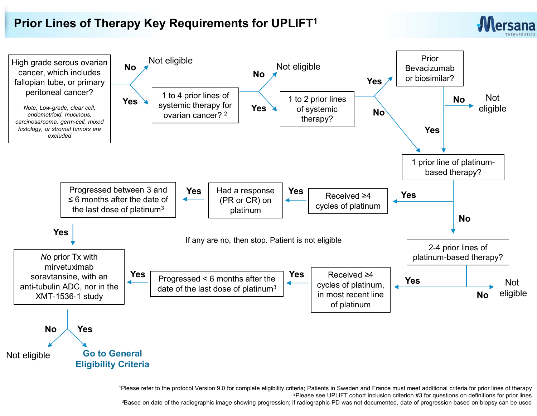## Prior Lines of Therapy Key Requirements for UPLIFT<sup>1</sup>





1Please refer to the protocol Version 9.0 for complete eligibility criteria; Patients in Sweden and France must meet additional criteria for prior lines of therapy